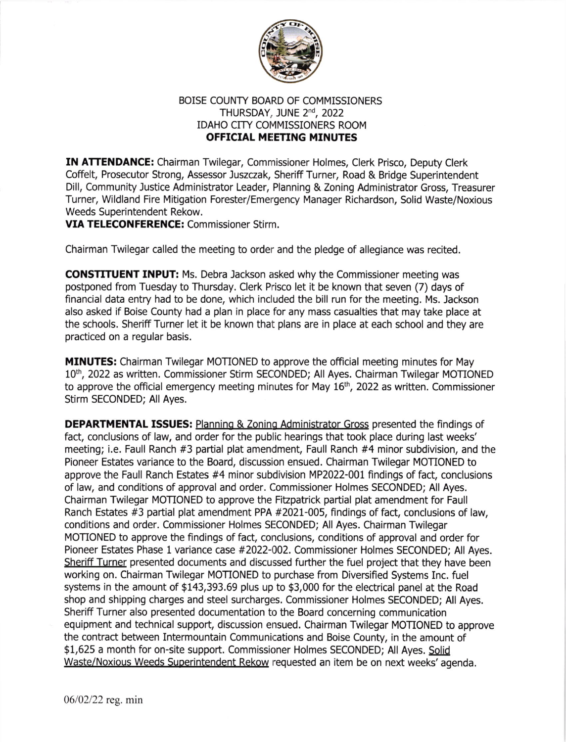

## BOISE COUNTY BOARD OF COMMISSIONERS THURSDAY, JUNE 2<sup>nd</sup>, 2022 IDAHO CITY COMMISSIONERS ROOM OFFICIAL MEETING MINUTES

IN ATTENDANCE: Chairman Twilegar, Commissioner Holmes, Clerk Prisco, Deputy Clerk Coffelt, Prosecutor Strong, Assessor Juszczak, Sheriff Turner, Road & Bridge Superintendent Dill, Community Justice Administrator Leader, Planning & Zoning Administrator Gross, Treasurer Turner, Wildland Fire Mitigation Forester/Emergenry Manager Richardson, Solid Waste/Noxious Weeds Superintendent Rekow.

VIA TELECONFERENCE: Commissioner Stirm.

Chairman Twilegar called the meeting to order and the pledge of allegiance was recited.

CONSTITUENT INPUT: Ms. Debra lackson asked why the Commissioner meeting was postponed from Tuesday to Thursday. Clerk Prisco let it be known that seven (7) days of financial data entry had to be done, which included the bill run for the meeting. Ms. Jackson also asked if Boise County had a plan in place for any mass casualties that may take place at the schools. Sheriff Turner let it be known that plans are in place at each school and they are practiced on a regular basis.

MINUTES: Chairman Twilegar MOTIONED to approve the official meeting minutes for May 10<sup>th</sup>, 2022 as written. Commissioner Stirm SECONDED; All Ayes. Chairman Twilegar MOTIONED to approve the official emergency meeting minutes for May 16<sup>th</sup>, 2022 as written. Commissioner Stirm SECONDED; All Ayes.

DEPARTMENTAL ISSUES: Planning & Zoning Administrator Gross presented the findings of fact, conclusions of law, and order for the public hearings that took place during last weeks' meeting; i.e. Faull Ranch #3 partial plat amendment, Faull Ranch #4 minor subdivision, and the Pioneer Estates variance to the Board, discussion ensued. Chairman Twilegar MOTIONED to approve the Faull Ranch Estates #4 minor subdivision MP2022-001 findings of fact, conclusions of law, and conditions of approval and order. Commissioner Holmes SECONDED; All Ayes. Chairman Twilegar MOTIONED to approve the FiEpatrick partial plat amendment for Faull Ranch Estates #3 partial plat amendment PPA #2021-005, findings of fact, conclusions of law, conditions and order. Commissioner Holmes SECONDED; All Ayes. Chairman Twilegar MOTIONED to approve the findings of fact, conclusions, conditions of approval and order for Pioneer Estates Phase 1 variance case #2022-002. Commissioner Holmes SECONDED; All Ayes. Sheriff Turner presented documents and discussed further the fuel project that they have been working on. Chairman Twilegar MOTIONED to purchase from Diversified Systems Inc. fuel systems in the amount of \$143,393.69 plus up to \$3,000 for the electrical panel at the Road shop and shipping charges and steel surcharges. Commissioner Holmes SECONDED; All Ayes. Sheriff Turner also presented documentation to the Board concerning communication equipment and technical support, discussion ensued. Chairman Twilegar MOTIONED to approve the contract between Intermountain Communications and Boise County, in the amount of \$1,625 a month for on-site support. Commissioner Holmes SECONDED; All Ayes. Solid Waste/Noxious Weeds Superintendent Rekow requested an item be on next weeks' agenda.